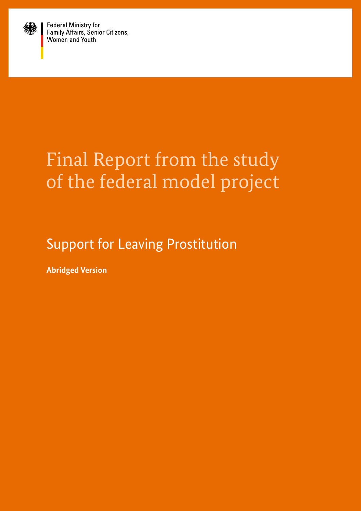

Federal Ministry for<br>Family Affairs, Senior Citizens,<br>Women and Youth

# Final Report from the study of the federal model project

Support for Leaving Prostitution

**Abridged Version**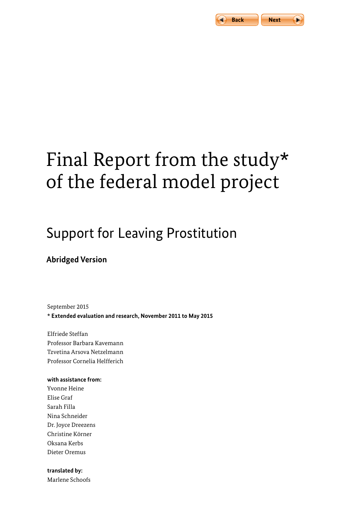

# Final Report from the study\* of the federal model project

## Support for Leaving Prostitution

## **Abridged Version**

September 2015 **\* Extended evaluation and research, November 2011 to May 2015**

Elfriede Steffan Professor Barbara Kavemann Tzvetina Arsova Netzelmann Professor Cornelia Helfferich

#### **with assistance from:**

Yvonne Heine Elise Graf Sarah Filla Nina Schneider Dr. Joyce Dreezens Christine Körner Oksana Kerbs Dieter Oremus

#### **translated by:**

Marlene Schoofs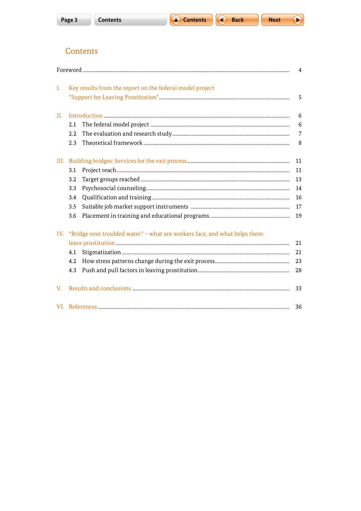

**A** Back



A

## Contents

|      |                                                                               |    | $\overline{4}$ |  |  |
|------|-------------------------------------------------------------------------------|----|----------------|--|--|
| I.   | Key results from the report on the federal model project                      |    |                |  |  |
| II.  |                                                                               |    |                |  |  |
|      | 2.1                                                                           |    | 6              |  |  |
|      | 2.2                                                                           |    | $\overline{7}$ |  |  |
|      | 2.3                                                                           |    | 8              |  |  |
| III. |                                                                               |    |                |  |  |
|      | 3.1                                                                           |    | 11             |  |  |
|      | 3.2                                                                           |    | 13             |  |  |
|      | 3.3                                                                           |    | 14             |  |  |
|      | 3.4                                                                           |    | 16             |  |  |
|      | 3.5                                                                           |    | 17             |  |  |
|      | 3.6                                                                           |    | 19             |  |  |
|      | IV. "Bridge over troubled water" - what sex workers face, and what helps them |    |                |  |  |
|      |                                                                               | 21 |                |  |  |
|      | 4.1                                                                           |    | 21             |  |  |
|      | 4.2                                                                           |    | 23             |  |  |
|      | 4.3                                                                           |    | 28             |  |  |
| V.   |                                                                               |    | 33             |  |  |
|      |                                                                               |    | 36             |  |  |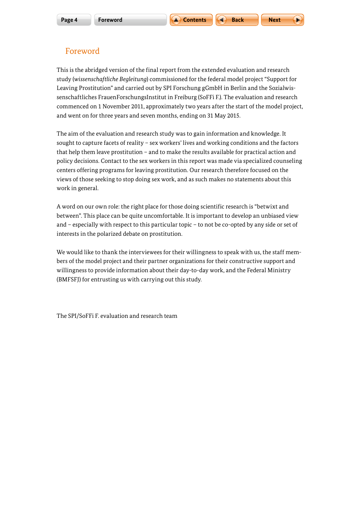

## <span id="page-3-0"></span>Foreword

This is the abridged version of the final report from the extended evaluation and research study (*wissenschaftliche Begleitung*) commissioned for the federal model project "Support for Leaving Prostitution" and carried out by SPI Forschung gGmbH in Berlin and the Sozialwissenschaftliches FrauenForschungsInstitut in Freiburg (SoFFi F.). The evaluation and research commenced on 1 November 2011, approximately two years after the start of the model project, and went on for three years and seven months, ending on 31 May 2015.

The aim of the evaluation and research study was to gain information and knowledge. It sought to capture facets of reality – sex workers' lives and working conditions and the factors that help them leave prostitution – and to make the results available for practical action and policy decisions. Contact to the sex workers in this report was made via specialized counseling centers offering programs for leaving prostitution. Our research therefore focused on the views of those seeking to stop doing sex work, and as such makes no statements about this work in general.

A word on our own role: the right place for those doing scientific research is "betwixt and between". This place can be quite uncomfortable. It is important to develop an unbiased view and – especially with respect to this particular topic – to not be co-opted by any side or set of interests in the polarized debate on prostitution.

We would like to thank the interviewees for their willingness to speak with us, the staff members of the model project and their partner organizations for their constructive support and willingness to provide information about their day-to-day work, and the Federal Ministry (BMFSFJ) for entrusting us with carrying out this study.

The SPI/SoFFi F. evaluation and research team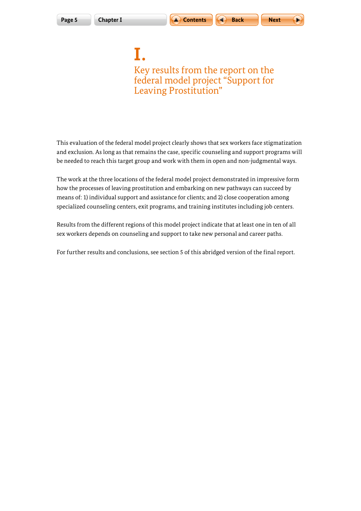$$
\mathsf{Next} \quad \ \ \big(
$$

ь

<span id="page-4-0"></span>**I.** Key results from the report on the federal model project "Support for Leaving Prostitution"

This evaluation of the federal model project clearly shows that sex workers face stigmatization and exclusion. As long as that remains the case, specific counseling and support programs will be needed to reach this target group and work with them in open and non-judgmental ways.

The work at the three locations of the federal model project demonstrated in impressive form how the processes of leaving prostitution and embarking on new pathways can succeed by means of: 1) individual support and assistance for clients; and 2) close cooperation among specialized counseling centers, exit programs, and training institutes including job centers.

Results from the different regions of this model project indicate that at least one in ten of all sex workers depends on counseling and support to take new personal and career paths.

For further results and conclusions, see section 5 of this abridged version of the final report.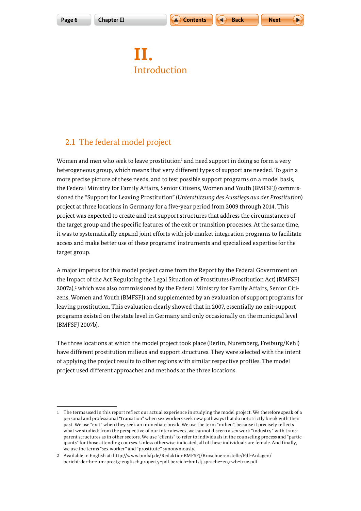

## <span id="page-5-0"></span>**II. Introduction**

## 2.1 The federal model project

Women and men who seek to leave prostitution<sup>1</sup> and need support in doing so form a very heterogeneous group, which means that very different types of support are needed. To gain a more precise picture of these needs, and to test possible support programs on a model basis, the Federal Ministry for Family Affairs, Senior Citizens, Women and Youth (BMFSFJ) commissioned the "Support for Leaving Prostitution" (*Unterstützung des Ausstiegs aus der Prostitution*) project at three locations in Germany for a five-year period from 2009 through 2014. This project was expected to create and test support structures that address the circumstances of the target group and the specific features of the exit or transition processes. At the same time, it was to systematically expand joint efforts with job market integration programs to facilitate access and make better use of these programs' instruments and specialized expertise for the target group.

A major impetus for this model project came from the Report by the Federal Government on the Impact of the Act Regulating the Legal Situation of Prostitutes (Prostitution Act) (BMFSFJ 2007a),<sup>2</sup> which was also commissioned by the Federal Ministry for Family Affairs, Senior Citizens, Women and Youth (BMFSFJ) and supplemented by an evaluation of support programs for leaving prostitution. This evaluation clearly showed that in 2007, essentially no exit-support programs existed on the state level in Germany and only occasionally on the municipal level (BMFSFJ 2007b).

The three locations at which the model project took place (Berlin, Nuremberg, Freiburg/Kehl) have different prostitution milieus and support structures. They were selected with the intent of applying the project results to other regions with similar respective profiles. The model project used different approaches and methods at the three locations.

<sup>1</sup> The terms used in this report reflect our actual experience in studying the model project. We therefore speak of a personal and professional "transition" when sex workers seek new pathways that do not strictly break with their past. We use "exit" when they seek an immediate break. We use the term "milieu", because it precisely reflects what we studied: from the perspective of our interviewees, we cannot discern a sex work "industry" with transparent structures as in other sectors. We use "clients" to refer to individuals in the counseling process and "participants" for those attending courses. Unless otherwise indicated, all of these individuals are female. And finally, we use the terms "sex worker" and "prostitute" synonymously.

<sup>2</sup> Available in English at: [http://www.bmfsfj.de/RedaktionBMFSFJ/Broschuerenstelle/Pdf-Anlagen/](http://www.bmfsfj.de/RedaktionBMFSFJ/Broschuerenstelle/Pdf-Anlagen/bericht-der-br-zum-prostg-englisch,property=pdf,bereich=bmfsfj,sprache=en,rwb=true.pdf) [bericht-der-br-zum-prostg-englisch,property=pdf,bereich=bmfsfj,sprache=en,rwb=true.pdf](http://www.bmfsfj.de/RedaktionBMFSFJ/Broschuerenstelle/Pdf-Anlagen/bericht-der-br-zum-prostg-englisch,property=pdf,bereich=bmfsfj,sprache=en,rwb=true.pdf)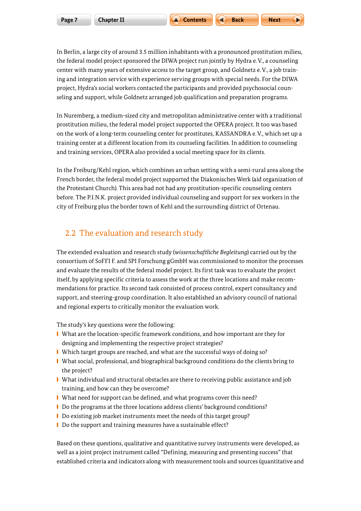<span id="page-6-0"></span>In Berlin, a large city of around 3.5 million inhabitants with a pronounced prostitution milieu, the federal model project sponsored the DIWA project run jointly by Hydra e.V., a counseling center with many years of extensive access to the target group, and Goldnetz e.V., a job training and integration service with experience serving groups with special needs. For the DIWA project, Hydra's social workers contacted the participants and provided psychosocial counseling and support, while Goldnetz arranged job qualification and preparation programs.

In Nuremberg, a medium-sized city and metropolitan administrative center with a traditional prostitution milieu, the federal model project supported the OPERA project. It too was based on the work of a long-term counseling center for prostitutes, KASSANDRA e.V., which set up a training center at a different location from its counseling facilities. In addition to counseling and training services, OPERA also provided a social meeting space for its clients.

In the Freiburg/Kehl region, which combines an urban setting with a semi-rural area along the French border, the federal model project supported the Diakonisches Werk (aid organization of the Protestant Church). This area had not had any prostitution-specific counseling centers before. The P.I.N.K. project provided individual counseling and support for sex workers in the city of Freiburg plus the border town of Kehl and the surrounding district of Ortenau.

## 2.2 The evaluation and research study

The extended evaluation and research study (*wissenschaftliche Begleitung*) carried out by the consortium of SoFFI F. and SPI Forschung gGmbH was commissioned to monitor the processes and evaluate the results of the federal model project. Its first task was to evaluate the project itself, by applying specific criteria to assess the work at the three locations and make recommendations for practice. Its second task consisted of process control, expert consultancy and support, and steering-group coordination. It also established an advisory council of national and regional experts to critically monitor the evaluation work.

The study's key questions were the following:

- What are the location-specific framework conditions, and how important are they for designing and implementing the respective project strategies?
- Which target groups are reached, and what are the successful ways of doing so?
- **I** What social, professional, and biographical background conditions do the clients bring to the project?
- What individual and structural obstacles are there to receiving public assistance and job training, and how can they be overcome?
- What need for support can be defined, and what programs cover this need?
- Do the programs at the three locations address clients' background conditions?
- Do existing job market instruments meet the needs of this target group?
- Do the support and training measures have a sustainable effect?

Based on these questions, qualitative and quantitative survey instruments were developed, as well as a joint project instrument called "Defining, measuring and presenting success" that established criteria and indicators along with measurement tools and sources (quantitative and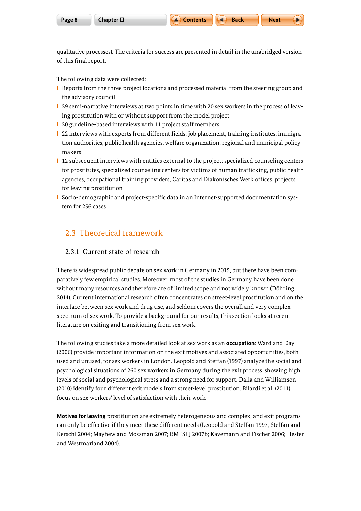<span id="page-7-0"></span>qualitative processes). The criteria for success are presented in detail in the unabridged version of this final report.

The following data were collected:

- **I** Reports from the three project locations and processed material from the steering group and the advisory council
- 29 semi-narrative interviews at two points in time with 20 sex workers in the process of leaving prostitution with or without support from the model project
- 20 guideline-based interviews with 11 project staff members
- 22 interviews with experts from different fields: job placement, training institutes, immigration authorities, public health agencies, welfare organization, regional and municipal policy makers
- 12 subsequent interviews with entities external to the project: specialized counseling centers for prostitutes, specialized counseling centers for victims of human trafficking, public health agencies, occupational training providers, Caritas and Diakonisches Werk offices, projects for leaving prostitution
- Socio-demographic and project-specific data in an Internet-supported documentation system for 256 cases

## 2.3 Theoretical framework

#### 2.3.1 Current state of research

There is widespread public debate on sex work in Germany in 2015, but there have been comparatively few empirical studies. Moreover, most of the studies in Germany have been done without many resources and therefore are of limited scope and not widely known (Döhring 2014). Current international research often concentrates on street-level prostitution and on the interface between sex work and drug use, and seldom covers the overall and very complex spectrum of sex work. To provide a background for our results, this section looks at recent literature on exiting and transitioning from sex work.

The following studies take a more detailed look at sex work as an **occupation**: Ward and Day (2006) provide important information on the exit motives and associated opportunities, both used and unused, for sex workers in London. Leopold and Steffan (1997) analyze the social and psychological situations of 260 sex workers in Germany during the exit process, showing high levels of social and psychological stress and a strong need for support. Dalla and Williamson (2010) identify four different exit models from street-level prostitution. Bilardi et al. (2011) focus on sex workers' level of satisfaction with their work

**Motives for leaving** prostitution are extremely heterogeneous and complex, and exit programs can only be effective if they meet these different needs (Leopold and Steffan 1997; Steffan and Kerschl 2004; Mayhew and Mossman 2007; BMFSFJ 2007b; Kavemann and Fischer 2006; Hester and Westmarland 2004).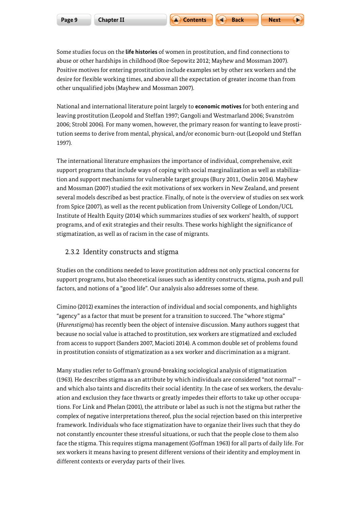Some studies focus on the **life histories** of women in prostitution, and find connections to abuse or other hardships in childhood (Roe-Sepowitz 2012; Mayhew and Mossman 2007). Positive motives for entering prostitution include examples set by other sex workers and the desire for flexible working times, and above all the expectation of greater income than from other unqualified jobs (Mayhew and Mossman 2007).

National and international literature point largely to **economic motives** for both entering and leaving prostitution (Leopold and Steffan 1997; Gangoli and Westmarland 2006; Svanström 2006; Strobl 2006). For many women, however, the primary reason for wanting to leave prostitution seems to derive from mental, physical, and/or economic burn-out (Leopold und Steffan 1997).

The international literature emphasizes the importance of individual, comprehensive, exit support programs that include ways of coping with social marginalization as well as stabilization and support mechanisms for vulnerable target groups (Bury 2011, Oselin 2014). Mayhew and Mossman (2007) studied the exit motivations of sex workers in New Zealand, and present several models described as best practice. Finally, of note is the overview of studies on sex work from Spice (2007), as well as the recent publication from University College of London/UCL Institute of Health Equity (2014) which summarizes studies of sex workers' health, of support programs, and of exit strategies and their results. These works highlight the significance of stigmatization, as well as of racism in the case of migrants.

#### 2.3.2 Identity constructs and stigma

Studies on the conditions needed to leave prostitution address not only practical concerns for support programs, but also theoretical issues such as identity constructs, stigma, push and pull factors, and notions of a "good life". Our analysis also addresses some of these.

Cimino (2012) examines the interaction of individual and social components, and highlights "agency" as a factor that must be present for a transition to succeed. The "whore stigma" (*Hurenstigma*) has recently been the object of intensive discussion. Many authors suggest that because no social value is attached to prostitution, sex workers are stigmatized and excluded from access to support (Sanders 2007, Macioti 2014). A common double set of problems found in prostitution consists of stigmatization as a sex worker and discrimination as a migrant.

Many studies refer to Goffman's ground-breaking sociological analysis of stigmatization (1963). He describes stigma as an attribute by which individuals are considered "not normal" – and which also taints and discredits their social identity. In the case of sex workers, the devaluation and exclusion they face thwarts or greatly impedes their efforts to take up other occupations. For Link and Phelan (2001), the attribute or label as such is not the stigma but rather the complex of negative interpretations thereof, plus the social rejection based on this interpretive framework. Individuals who face stigmatization have to organize their lives such that they do not constantly encounter these stressful situations, or such that the people close to them also face the stigma. This requires stigma management (Goffman 1963) for all parts of daily life. For sex workers it means having to present different versions of their identity and employment in different contexts or everyday parts of their lives.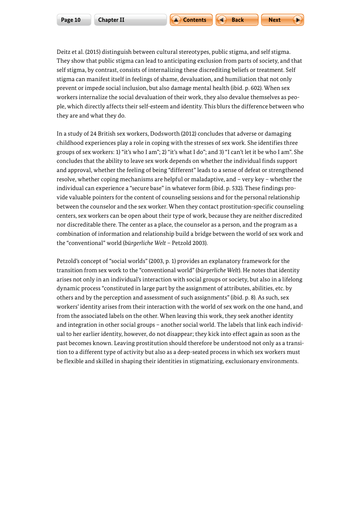prevent or impede social inclusion, but also damage mental health (ibid. p. 602). When sex workers internalize the social devaluation of their work, they also devalue themselves as people, which directly affects their self-esteem and identity. This blurs the difference between who they are and what they do.

In a study of 24 British sex workers, Dodsworth (2012) concludes that adverse or damaging childhood experiences play a role in coping with the stresses of sex work. She identifies three groups of sex workers: 1) "it's who I am"; 2) "it's what I do"; and 3) "I can't let it be who I am". She concludes that the ability to leave sex work depends on whether the individual finds support and approval, whether the feeling of being "different" leads to a sense of defeat or strengthened resolve, whether coping mechanisms are helpful or maladaptive, and – very key – whether the individual can experience a "secure base" in whatever form (ibid. p. 532). These findings provide valuable pointers for the content of counseling sessions and for the personal relationship between the counselor and the sex worker. When they contact prostitution-specific counseling centers, sex workers can be open about their type of work, because they are neither discredited nor discreditable there. The center as a place, the counselor as a person, and the program as a combination of information and relationship build a bridge between the world of sex work and the "conventional" world (*bürgerliche Welt* – Petzold 2003).

Petzold's concept of "social worlds" (2003, p. 1) provides an explanatory framework for the transition from sex work to the "conventional world" (*bürgerliche Welt*). He notes that identity arises not only in an individual's interaction with social groups or society, but also in a lifelong dynamic process "constituted in large part by the assignment of attributes, abilities, etc. by others and by the perception and assessment of such assignments" (ibid. p. 8). As such, sex workers' identity arises from their interaction with the world of sex work on the one hand, and from the associated labels on the other. When leaving this work, they seek another identity and integration in other social groups – another social world. The labels that link each individual to her earlier identity, however, do not disappear; they kick into effect again as soon as the past becomes known. Leaving prostitution should therefore be understood not only as a transition to a different type of activity but also as a deep-seated process in which sex workers must be flexible and skilled in shaping their identities in stigmatizing, exclusionary environments.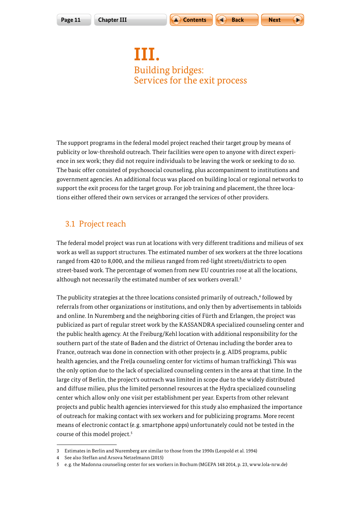

## <span id="page-10-0"></span>**III.** Building bridges: Services for the exit process

The support programs in the federal model project reached their target group by means of publicity or low-threshold outreach. Their facilities were open to anyone with direct experience in sex work; they did not require individuals to be leaving the work or seeking to do so. The basic offer consisted of psychosocial counseling, plus accompaniment to institutions and government agencies. An additional focus was placed on building local or regional networks to support the exit process for the target group. For job training and placement, the three locations either offered their own services or arranged the services of other providers.

## 3.1 Project reach

The federal model project was run at locations with very different traditions and milieus of sex work as well as support structures. The estimated number of sex workers at the three locations ranged from 420 to 8,000, and the milieus ranged from red-light streets/districts to open street-based work. The percentage of women from new EU countries rose at all the locations, although not necessarily the estimated number of sex workers overall.<sup>3</sup>

The publicity strategies at the three locations consisted primarily of outreach,4 followed by referrals from other organizations or institutions, and only then by advertisements in tabloids and online. In Nuremberg and the neighboring cities of Fürth and Erlangen, the project was publicized as part of regular street work by the KASSANDRA specialized counseling center and the public health agency. At the Freiburg/Kehl location with additional responsibility for the southern part of the state of Baden and the district of Ortenau including the border area to France, outreach was done in connection with other projects (e.g. AIDS programs, public health agencies, and the FreiJa counseling center for victims of human trafficking). This was the only option due to the lack of specialized counseling centers in the area at that time. In the large city of Berlin, the project's outreach was limited in scope due to the widely distributed and diffuse milieu, plus the limited personnel resources at the Hydra specialized counseling center which allow only one visit per establishment per year. Experts from other relevant projects and public health agencies interviewed for this study also emphasized the importance of outreach for making contact with sex workers and for publicizing programs. More recent means of electronic contact (e. g. smartphone apps) unfortunately could not be tested in the course of this model project.<sup>5</sup>

<sup>3</sup> Estimates in Berlin and Nuremberg are similar to those from the 1990s (Leopold et al. 1994)

<sup>4</sup> See also Steffan and Arsova Netzelmann (2015)

<sup>5</sup> e. g. the Madonna counseling center for sex workers in Bochum (MGEPA 148 2014, p. 23, [www.lola-nrw.de\)](http://www.lola-nrw.de)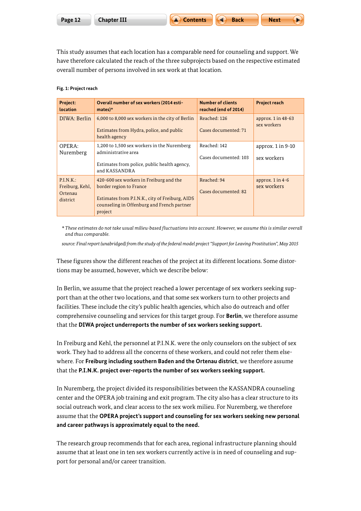This study assumes that each location has a comparable need for counseling and support. We have therefore calculated the reach of the three subprojects based on the respective estimated overall number of persons involved in sex work at that location.

#### **Fig. 1: Project reach**

| Project:<br>location                               | Overall number of sex workers (2014 esti-<br>$mates$ <sup>*</sup>                                                                                                              | <b>Number of clients</b><br>reached (end of 2014) | <b>Project reach</b>                  |
|----------------------------------------------------|--------------------------------------------------------------------------------------------------------------------------------------------------------------------------------|---------------------------------------------------|---------------------------------------|
| DIWA: Berlin                                       | 6,000 to 8,000 sex workers in the city of Berlin<br>Estimates from Hydra, police, and public<br>health agency                                                                  | Reached: 126<br>Cases documented: 71              | approx. $1$ in $48-63$<br>sex workers |
| OPERA:<br>Nuremberg                                | 1,200 to 1,500 sex workers in the Nuremberg<br>administrative area<br>Estimates from police, public health agency,<br>and KASSANDRA                                            | Reached: 142<br>Cases documented: 103             | approx. $1$ in $9-10$<br>sex workers  |
| P.I.N.K.<br>Freiburg, Kehl,<br>Ortenau<br>district | 420-600 sex workers in Freiburg and the<br>border region to France<br>Estimates from P.I.N.K., city of Freiburg, AIDS<br>counseling in Offenburg and French partner<br>project | Reached: 94<br>Cases documented: 82               | approx. $1$ in $4-6$<br>sex workers   |

*\* These estimates do not take usual milieu-based fluctuations into account. However, we assume this is similar overall and thus comparable.* 

*source: Final report (unabridged) from the study of the federal model project "Support for Leaving Prostitution", May 2015*

These figures show the different reaches of the project at its different locations. Some distortions may be assumed, however, which we describe below:

In Berlin, we assume that the project reached a lower percentage of sex workers seeking support than at the other two locations, and that some sex workers turn to other projects and facilities. These include the city's public health agencies, which also do outreach and offer comprehensive counseling and services for this target group. For **Berlin**, we therefore assume that the **DIWA project underreports the number of sex workers seeking support.**

In Freiburg and Kehl, the personnel at P.I.N.K. were the only counselors on the subject of sex work. They had to address all the concerns of these workers, and could not refer them elsewhere. For **Freiburg including southern Baden and the Ortenau district**, we therefore assume that the **P.I.N.K. project over-reports the number of sex workers seeking support.**

In Nuremberg, the project divided its responsibilities between the KASSANDRA counseling center and the OPERA job training and exit program. The city also has a clear structure to its social outreach work, and clear access to the sex work milieu. For Nuremberg, we therefore assume that the **OPERA project's support and counseling for sex workers seeking new personal and career pathways is approximately equal to the need.**

The research group recommends that for each area, regional infrastructure planning should assume that at least one in ten sex workers currently active is in need of counseling and support for personal and/or career transition.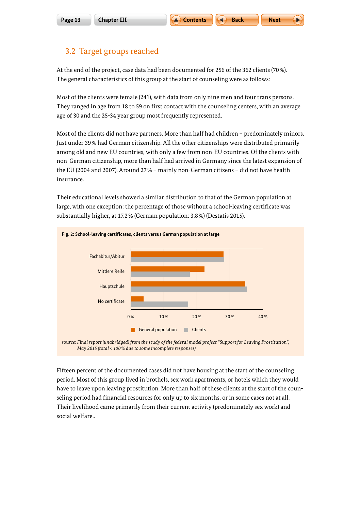$$
\blacksquare \blacksquare
$$
 Next

## <span id="page-12-0"></span>3.2 Target groups reached

At the end of the project, case data had been documented for 256 of the 362 clients (70 %). The general characteristics of this group at the start of counseling were as follows:

Most of the clients were female (241), with data from only nine men and four trans persons. They ranged in age from 18 to 59 on first contact with the counseling centers, with an average age of 30 and the 25-34 year group most frequently represented.

Most of the clients did not have partners. More than half had children – predominately minors. Just under 39 % had German citizenship. All the other citizenships were distributed primarily among old and new EU countries, with only a few from non-EU countries. Of the clients with non-German citizenship, more than half had arrived in Germany since the latest expansion of the EU (2004 and 2007). Around 27 % – mainly non-German citizens – did not have health insurance.

Their educational levels showed a similar distribution to that of the German population at large, with one exception: the percentage of those without a school-leaving certificate was substantially higher, at 17.2 % (German population: 3.8 %) (Destatis 2015).





Fifteen percent of the documented cases did not have housing at the start of the counseling period. Most of this group lived in brothels, sex work apartments, or hotels which they would have to leave upon leaving prostitution. More than half of these clients at the start of the counseling period had financial resources for only up to six months, or in some cases not at all. Their livelihood came primarily from their current activity (predominately sex work) and social welfare..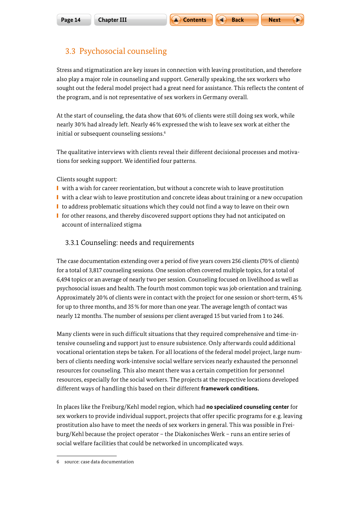## <span id="page-13-0"></span>3.3 Psychosocial counseling

Stress and stigmatization are key issues in connection with leaving prostitution, and therefore also play a major role in counseling and support. Generally speaking, the sex workers who sought out the federal model project had a great need for assistance. This reflects the content of the program, and is not representative of sex workers in Germany overall.

At the start of counseling, the data show that 60% of clients were still doing sex work, while nearly 30% had already left. Nearly 46% expressed the wish to leave sex work at either the initial or subsequent counseling sessions.<sup>6</sup>

The qualitative interviews with clients reveal their different decisional processes and motivations for seeking support. We identified four patterns.

Clients sought support:

- **I** with a wish for career reorientation, but without a concrete wish to leave prostitution
- with a clear wish to leave prostitution and concrete ideas about training or a new occupation
- I to address problematic situations which they could not find a way to leave on their own
- for other reasons, and thereby discovered support options they had not anticipated on account of internalized stigma

#### 3.3.1 Counseling: needs and requirements

The case documentation extending over a period of five years covers 256 clients (70% of clients) for a total of 3,817 counseling sessions. One session often covered multiple topics, for a total of 6,494 topics or an average of nearly two per session. Counseling focused on livelihood as well as psychosocial issues and health. The fourth most common topic was job orientation and training. Approximately 20% of clients were in contact with the project for one session or short-term, 45% for up to three months, and 35% for more than one year. The average length of contact was nearly 12 months. The number of sessions per client averaged 15 but varied from 1 to 246.

Many clients were in such difficult situations that they required comprehensive and time-intensive counseling and support just to ensure subsistence. Only afterwards could additional vocational orientation steps be taken. For all locations of the federal model project, large numbers of clients needing work-intensive social welfare services nearly exhausted the personnel resources for counseling. This also meant there was a certain competition for personnel resources, especially for the social workers. The projects at the respective locations developed different ways of handling this based on their different **framework conditions.**

In places like the Freiburg/Kehl model region, which had **no specialized counseling center** for sex workers to provide individual support, projects that offer specific programs for e. g. leaving prostitution also have to meet the needs of sex workers in general. This was possible in Freiburg/Kehl because the project operator – the Diakonisches Werk – runs an entire series of social welfare facilities that could be networked in uncomplicated ways.

<sup>6</sup> source: case data documentation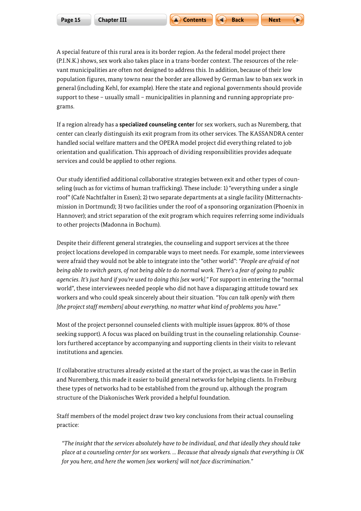A special feature of this rural area is its border region. As the federal model project there (P.I.N.K.) shows, sex work also takes place in a trans-border context. The resources of the relevant municipalities are often not designed to address this. In addition, because of their low population figures, many towns near the border are allowed by German law to ban sex work in general (including Kehl, for example). Here the state and regional governments should provide support to these – usually small – municipalities in planning and running appropriate programs.

If a region already has a **specialized counseling center** for sex workers, such as Nuremberg, that center can clearly distinguish its exit program from its other services. The KASSANDRA center handled social welfare matters and the OPERA model project did everything related to job orientation and qualification. This approach of dividing responsibilities provides adequate services and could be applied to other regions.

Our study identified additional collaborative strategies between exit and other types of counseling (such as for victims of human trafficking). These include: 1) "everything under a single roof" (Café Nachtfalter in Essen); 2) two separate departments at a single facility (Mitternachtsmission in Dortmund); 3) two facilities under the roof of a sponsoring organization (Phoenix in Hannover); and strict separation of the exit program which requires referring some individuals to other projects (Madonna in Bochum).

Despite their different general strategies, the counseling and support services at the three project locations developed in comparable ways to meet needs. For example, some interviewees were afraid they would not be able to integrate into the "other world": *"People are afraid of not being able to switch gears, of not being able to do normal work. There's a fear of going to public agencies. It's just hard if you're used to doing this [sex work]."* For support in entering the "normal world", these interviewees needed people who did not have a disparaging attitude toward sex workers and who could speak sincerely about their situation. *"You can talk openly with them [the project staff members] about everything, no matter what kind of problems you have."*

Most of the project personnel counseled clients with multiple issues (approx. 80% of those seeking support). A focus was placed on building trust in the counseling relationship. Counselors furthered acceptance by accompanying and supporting clients in their visits to relevant institutions and agencies.

If collaborative structures already existed at the start of the project, as was the case in Berlin and Nuremberg, this made it easier to build general networks for helping clients. In Freiburg these types of networks had to be established from the ground up, although the program structure of the Diakonisches Werk provided a helpful foundation.

Staff members of the model project draw two key conclusions from their actual counseling practice:

 *"The insight that the services absolutely have to be individual, and that ideally they should take place at a counseling center for sex workers. ... Because that already signals that everything is OK for you here, and here the women [sex workers] will not face discrimination."*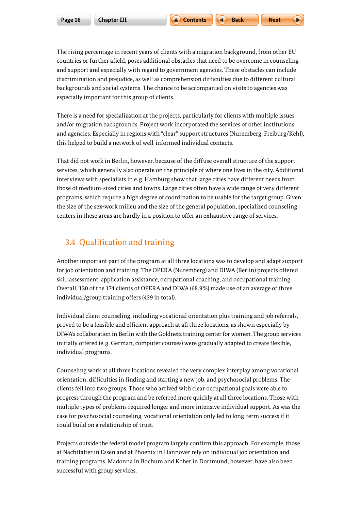<span id="page-15-0"></span>The rising percentage in recent years of clients with a migration background, from other EU countries or further afield, poses additional obstacles that need to be overcome in counseling and support and especially with regard to government agencies. These obstacles can include discrimination and prejudice, as well as comprehension difficulties due to different cultural backgrounds and social systems. The chance to be accompanied on visits to agencies was especially important for this group of clients.

There is a need for specialization at the projects, particularly for clients with multiple issues and/or migration backgrounds. Project work incorporated the services of other institutions and agencies. Especially in regions with "clear" support structures (Nuremberg, Freiburg/Kehl), this helped to build a network of well-informed individual contacts.

That did not work in Berlin, however, because of the diffuse overall structure of the support services, which generally also operate on the principle of where one lives in the city. Additional interviews with specialists in e.g. Hamburg show that large cities have different needs from those of medium-sized cities and towns. Large cities often have a wide range of very different programs, which require a high degree of coordination to be usable for the target group. Given the size of the sex-work milieu and the size of the general population, specialized counseling centers in these areas are hardly in a position to offer an exhaustive range of services.

## 3.4 Qualification and training

Another important part of the program at all three locations was to develop and adapt support for job orientation and training. The OPERA (Nuremberg) and DIWA (Berlin) projects offered skill assessment, application assistance, occupational coaching, and occupational training. Overall, 120 of the 174 clients of OPERA and DIWA (68.9%) made use of an average of three individual/group training offers (439 in total).

Individual client counseling, including vocational orientation plus training and job referrals, proved to be a feasible and efficient approach at all three locations, as shown especially by DIWA's collaboration in Berlin with the Goldnetz training center for women. The group services initially offered (e.g. German, computer courses) were gradually adapted to create flexible, individual programs.

Counseling work at all three locations revealed the very complex interplay among vocational orientation, difficulties in finding and starting a new job, and psychosocial problems. The clients fell into two groups. Those who arrived with clear occupational goals were able to progress through the program and be referred more quickly at all three locations. Those with multiple types of problems required longer and more intensive individual support. As was the case for psychosocial counseling, vocational orientation only led to long-term success if it could build on a relationship of trust.

Projects outside the federal model program largely confirm this approach. For example, those at Nachtfalter in Essen and at Phoenix in Hannover rely on individual job orientation and training programs. Madonna in Bochum and Kober in Dortmund, however, have also been successful with group services.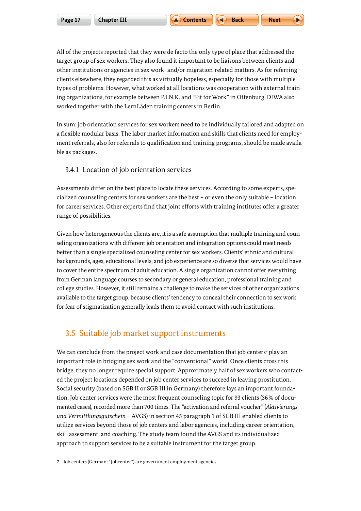<span id="page-16-0"></span>All of the projects reported that they were de facto the only type of place that addressed the target group of sex workers. They also found it important to be liaisons between clients and other institutions or agencies in sex work- and/or migration-related matters. As for referring clients elsewhere, they regarded this as virtually hopeless, especially for those with multiple types of problems. However, what worked at all locations was cooperation with external training organizations, for example between P.I.N.K. and "Fit for Work" in Offenburg. DIWA also worked together with the LernLäden training centers in Berlin.

In sum: job orientation services for sex workers need to be individually tailored and adapted on a flexible modular basis. The labor market information and skills that clients need for employment referrals, also for referrals to qualification and training programs, should be made available as packages.

#### 3.4.1 Location of job orientation services

Assessments differ on the best place to locate these services. According to some experts, specialized counseling centers for sex workers are the best – or even the only suitable – location for career services. Other experts find that joint efforts with training institutes offer a greater range of possibilities.

Given how heterogeneous the clients are, it is a safe assumption that multiple training and counseling organizations with different job orientation and integration options could meet needs better than a single specialized counseling center for sex workers. Clients' ethnic and cultural backgrounds, ages, educational levels, and job experience are so diverse that services would have to cover the entire spectrum of adult education. A single organization cannot offer everything from German language courses to secondary or general education, professional training and college studies. However, it still remains a challenge to make the services of other organizations available to the target group, because clients' tendency to conceal their connection to sex work for fear of stigmatization generally leads them to avoid contact with such institutions.

### 3.5 Suitable job market support instruments

We can conclude from the project work and case documentation that job centers $^7$  play an important role in bridging sex work and the "conventional" world. Once clients cross this bridge, they no longer require special support. Approximately half of sex workers who contacted the project locations depended on job center services to succeed in leaving prostitution. Social security (based on SGB II or SGB III in Germany) therefore lays an important foundation. Job center services were the most frequent counseling topic for 93 clients (36% of documented cases), recorded more than 700 times. The "activation and referral voucher" (*Aktivierungsund Vermittlungsgutschein* – AVGS) in section 45 paragraph 1 of SGB III enabled clients to utilize services beyond those of job centers and labor agencies, including career orientation, skill assessment, and coaching. The study team found the AVGS and its individualized approach to support services to be a suitable instrument for the target group.

<sup>7</sup> Job centers (German: "Jobcenter") are government employment agencies.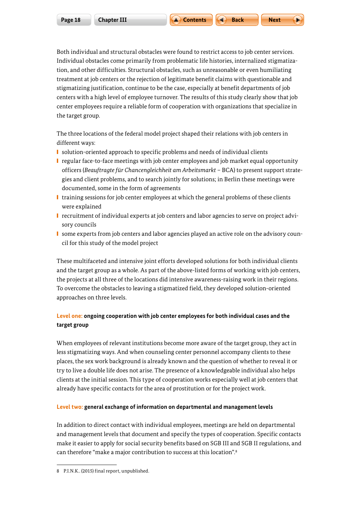Both individual and structural obstacles were found to restrict access to job center services. Individual obstacles come primarily from problematic life histories, internalized stigmatization, and other difficulties. Structural obstacles, such as unreasonable or even humiliating treatment at job centers or the rejection of legitimate benefit claims with questionable and stigmatizing justification, continue to be the case, especially at benefit departments of job centers with a high level of employee turnover. The results of this study clearly show that job center employees require a reliable form of cooperation with organizations that specialize in the target group.

The three locations of the federal model project shaped their relations with job centers in different ways:

- solution-oriented approach to specific problems and needs of individual clients
- regular face-to-face meetings with job center employees and job market equal opportunity officers (*Beauftragte für Chancengleichheit am Arbeitsmarkt* – BCA) to present support strategies and client problems, and to search jointly for solutions; in Berlin these meetings were documented, some in the form of agreements
- **■** training sessions for job center employees at which the general problems of these clients were explained
- **I** recruitment of individual experts at job centers and labor agencies to serve on project advisory councils
- **I** some experts from job centers and labor agencies played an active role on the advisory council for this study of the model project

These multifaceted and intensive joint efforts developed solutions for both individual clients and the target group as a whole. As part of the above-listed forms of working with job centers, the projects at all three of the locations did intensive awareness-raising work in their regions. To overcome the obstacles to leaving a stigmatized field, they developed solution-oriented approaches on three levels.

#### **Level one: ongoing cooperation with job center employees for both individual cases and the target group**

When employees of relevant institutions become more aware of the target group, they act in less stigmatizing ways. And when counseling center personnel accompany clients to these places, the sex work background is already known and the question of whether to reveal it or try to live a double life does not arise. The presence of a knowledgeable individual also helps clients at the initial session. This type of cooperation works especially well at job centers that already have specific contacts for the area of prostitution or for the project work.

#### **Level two: general exchange of information on departmental and management levels**

In addition to direct contact with individual employees, meetings are held on departmental and management levels that document and specify the types of cooperation. Specific contacts make it easier to apply for social security benefits based on SGB III and SGB II regulations, and can therefore "make a major contribution to success at this location".8

<sup>8</sup> P.I.N.K.. (2015) final report, unpublished.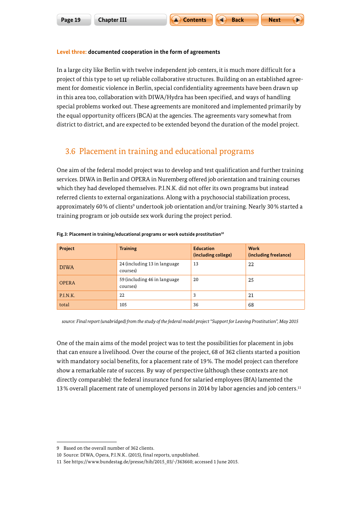<span id="page-18-0"></span>In a large city like Berlin with twelve independent job centers, it is much more difficult for a project of this type to set up reliable collaborative structures. Building on an established agreement for domestic violence in Berlin, special confidentiality agreements have been drawn up in this area too, collaboration with DIWA/Hydra has been specified, and ways of handling special problems worked out. These agreements are monitored and implemented primarily by the equal opportunity officers (BCA) at the agencies. The agreements vary somewhat from district to district, and are expected to be extended beyond the duration of the model project.

## 3.6 Placement in training and educational programs

One aim of the federal model project was to develop and test qualification and further training services. DIWA in Berlin and OPERA in Nuremberg offered job orientation and training courses which they had developed themselves. P.I.N.K. did not offer its own programs but instead referred clients to external organizations. Along with a psychosocial stabilization process, approximately 60% of clients<sup>9</sup> undertook job orientation and/or training. Nearly 30% started a training program or job outside sex work during the project period.

| Project      | <b>Training</b>                           | <b>Education</b><br>(including college) | Work<br>(including freelance) |
|--------------|-------------------------------------------|-----------------------------------------|-------------------------------|
| <b>DIWA</b>  | 24 (including 13 in language)<br>courses) | 13                                      | 22                            |
| <b>OPERA</b> | 59 (including 46 in language)<br>courses) | 20                                      | 25                            |
| P.I.N.K.     | 22                                        | 3                                       | 21                            |
| total        | 105                                       | 36                                      | 68                            |

#### Fig.3: Placement in training/educational programs or work outside prostitution<sup>10</sup>

*source: Final report (unabridged) from the study of the federal model project "Support for Leaving Prostitution", May 2015*

One of the main aims of the model project was to test the possibilities for placement in jobs that can ensure a livelihood. Over the course of the project, 68 of 362 clients started a position with mandatory social benefits, for a placement rate of 19%. The model project can therefore show a remarkable rate of success. By way of perspective (although these contexts are not directly comparable): the federal insurance fund for salaried employees (BfA) lamented the 13% overall placement rate of unemployed persons in 2014 by labor agencies and job centers.11

<sup>9</sup> Based on the overall number of 362 clients.

<sup>10</sup> Source: DIWA, Opera, P.I.N.K.. (2015), final reports, unpublished.

<sup>11</sup> See [https://www.bundestag.de/presse/hib/2015\\_03/-/363660](https://www.bundestag.de/presse/hib/2015_03/-/363660); accessed 1 June 2015.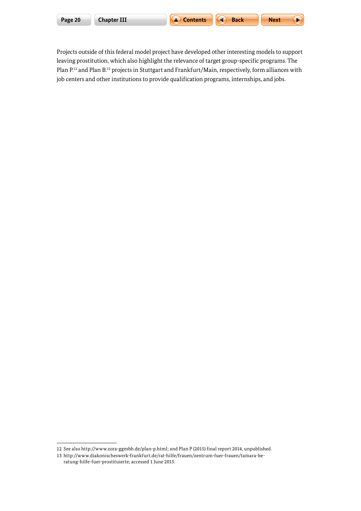|  |  | Page 20 |  |
|--|--|---------|--|
|  |  |         |  |



Projects outside of this federal model project have developed other interesting models to support leaving prostitution, which also highlight the relevance of target group-specific programs. The Plan P.<sup>12</sup> and Plan B.<sup>13</sup> projects in Stuttgart and Frankfurt/Main, respectively, form alliances with job centers and other institutions to provide qualification programs, internships, and jobs.

<sup>12</sup> See also<http://www.zora-ggmbh.de/plan-p.html>; and Plan P (2015) final report 2014, unpublished.

<sup>13</sup> [http://www.diakonischeswerk-frankfurt.de/rat-hilfe/frauen/zentrum-fuer-frauen/tamara-be](http://www.diakonischeswerk-frankfurt.de/rat-hilfe/frauen/zentrum-fuer-frauen/tamara-beratung-hilfe-fuer-prostituierte)[ratung-hilfe-fuer-prostituierte;](http://www.diakonischeswerk-frankfurt.de/rat-hilfe/frauen/zentrum-fuer-frauen/tamara-beratung-hilfe-fuer-prostituierte) accessed 1 June 2015.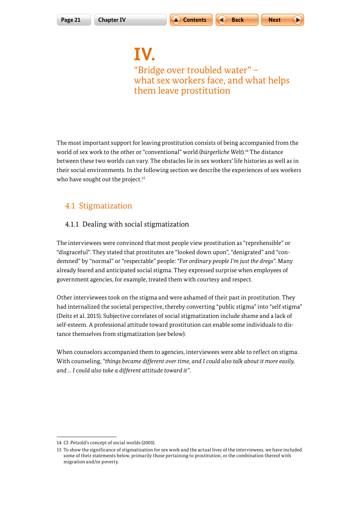$$
\mathsf{x} \mathsf{t} \qquad \qquad \qquad \blacktriangleright
$$

<span id="page-20-0"></span>**IV.** "Bridge over troubled water" – what sex workers face, and what helps them leave prostitution

The most important support for leaving prostitution consists of being accompanied from the world of sex work to the other or "conventional" world (*bürgerliche Welt*).14 The distance between these two worlds can vary. The obstacles lie in sex workers' life histories as well as in their social environments. In the following section we describe the experiences of sex workers who have sought out the project.<sup>15</sup>

## 4.1 Stigmatization

### 4.1.1 Dealing with social stigmatization

The interviewees were convinced that most people view prostitution as "reprehensible" or "disgraceful". They stated that prostitutes are "looked down upon", "denigrated" and "condemned" by "normal" or "respectable" people: *"For ordinary people I'm just the dregs"*. Many already feared and anticipated social stigma. They expressed surprise when employees of government agencies, for example, treated them with courtesy and respect.

Other interviewees took on the stigma and were ashamed of their past in prostitution. They had internalized the societal perspective, thereby converting "public stigma" into "self stigma" (Deitz et al. 2015). Subjective correlates of social stigmatization include shame and a lack of self-esteem. A professional attitude toward prostitution can enable some individuals to distance themselves from stigmatization (see below).

When counselors accompanied them to agencies, interviewees were able to reflect on stigma. With counseling, *"things became different over time, and I could also talk about it more easily, and ... I could also take a different attitude toward it"*.

<sup>14</sup> Cf. Petzold's concept of social worlds (2003).

<sup>15</sup> To show the significance of stigmatization for sex work and the actual lives of the interviewees, we have included some of their statements below, primarily those pertaining to prostitution, or the combination thereof with migration and/or poverty.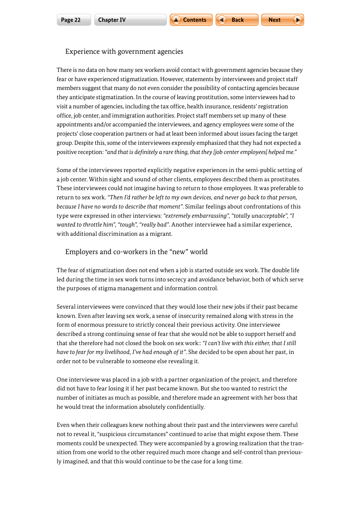

#### Experience with government agencies

There is no data on how many sex workers avoid contact with government agencies because they fear or have experienced stigmatization. However, statements by interviewees and project staff members suggest that many do not even consider the possibility of contacting agencies because they anticipate stigmatization. In the course of leaving prostitution, some interviewees had to visit a number of agencies, including the tax office, health insurance, residents' registration office, job center, and immigration authorities. Project staff members set up many of these appointments and/or accompanied the interviewees, and agency employees were some of the projects' close cooperation partners or had at least been informed about issues facing the target group. Despite this, some of the interviewees expressly emphasized that they had not expected a positive reception: *"and that is definitely a rare thing, that they [job center employees] helped me."*

Some of the interviewees reported explicitly negative experiences in the semi-public setting of a job center. Within sight and sound of other clients, employees described them as prostitutes. These interviewees could not imagine having to return to those employees. It was preferable to return to sex work. *"Then I'd rather be left to my own devices, and never go back to that person, because I have no words to describe that moment"*. Similar feelings about confrontations of this type were expressed in other interviews: *"extremely embarrassing", "totally unacceptable", "I wanted to throttle him", "tough", "really bad"*. Another interviewee had a similar experience, with additional discrimination as a migrant.

#### Employers and co-workers in the "new" world

The fear of stigmatization does not end when a job is started outside sex work. The double life led during the time in sex work turns into secrecy and avoidance behavior, both of which serve the purposes of stigma management and information control.

Several interviewees were convinced that they would lose their new jobs if their past became known. Even after leaving sex work, a sense of insecurity remained along with stress in the form of enormous pressure to strictly conceal their previous activity. One interviewee described a strong continuing sense of fear that she would not be able to support herself and that she therefore had not closed the book on sex work:: *"I can't live with this either, that I still have to fear for my livelihood, I've had enough of it"*. She decided to be open about her past, in order not to be vulnerable to someone else revealing it.

One interviewee was placed in a job with a partner organization of the project, and therefore did not have to fear losing it if her past became known. But she too wanted to restrict the number of initiates as much as possible, and therefore made an agreement with her boss that he would treat the information absolutely confidentially.

Even when their colleagues knew nothing about their past and the interviewees were careful not to reveal it, "suspicious circumstances" continued to arise that might expose them. These moments could be unexpected. They were accompanied by a growing realization that the transition from one world to the other required much more change and self-control than previously imagined, and that this would continue to be the case for a long time.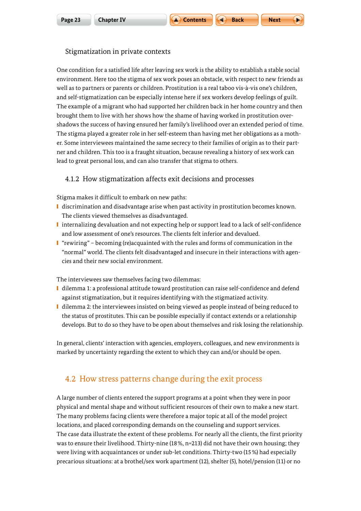

#### <span id="page-22-0"></span>Stigmatization in private contexts

One condition for a satisfied life after leaving sex work is the ability to establish a stable social environment. Here too the stigma of sex work poses an obstacle, with respect to new friends as well as to partners or parents or children. Prostitution is a real taboo vis-à-vis one's children, and self-stigmatization can be especially intense here if sex workers develop feelings of guilt. The example of a migrant who had supported her children back in her home country and then brought them to live with her shows how the shame of having worked in prostitution overshadows the success of having ensured her family's livelihood over an extended period of time. The stigma played a greater role in her self-esteem than having met her obligations as a mother. Some interviewees maintained the same secrecy to their families of origin as to their partner and children. This too is a fraught situation, because revealing a history of sex work can lead to great personal loss, and can also transfer that stigma to others.

#### 4.1.2 How stigmatization affects exit decisions and processes

Stigma makes it difficult to embark on new paths:

- **I** discrimination and disadvantage arise when past activity in prostitution becomes known. The clients viewed themselves as disadvantaged.
- internalizing devaluation and not expecting help or support lead to a lack of self-confidence and low assessment of one's resources. The clients felt inferior and devalued.
- "rewiring" becoming (re)acquainted with the rules and forms of communication in the "normal" world. The clients felt disadvantaged and insecure in their interactions with agencies and their new social environment.

The interviewees saw themselves facing two dilemmas:

- dilemma 1: a professional attitude toward prostitution can raise self-confidence and defend against stigmatization, but it requires identifying with the stigmatized activity.
- dilemma 2: the interviewees insisted on being viewed as people instead of being reduced to the status of prostitutes. This can be possible especially if contact extends or a relationship develops. But to do so they have to be open about themselves and risk losing the relationship.

In general, clients' interaction with agencies, employers, colleagues, and new environments is marked by uncertainty regarding the extent to which they can and/or should be open.

## 4.2 How stress patterns change during the exit process

A large number of clients entered the support programs at a point when they were in poor physical and mental shape and without sufficient resources of their own to make a new start. The many problems facing clients were therefore a major topic at all of the model project locations, and placed corresponding demands on the counseling and support services. The case data illustrate the extent of these problems. For nearly all the clients, the first priority was to ensure their livelihood. Thirty-nine (18%, n=213) did not have their own housing; they were living with acquaintances or under sub-let conditions. Thirty-two (15%) had especially precarious situations: at a brothel/sex work apartment (12), shelter (5), hotel/pension (11) or no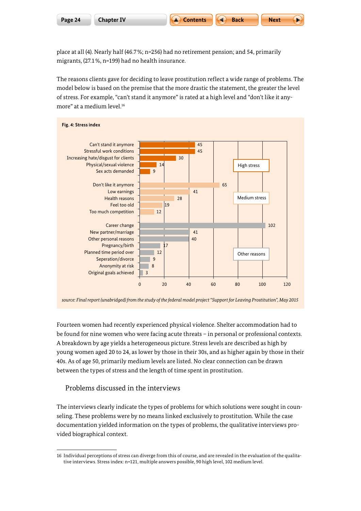place at all (4). Nearly half (46.7%; n=256) had no retirement pension; and 54, primarily migrants, (27.1%, n=199) had no health insurance.

The reasons clients gave for deciding to leave prostitution reflect a wide range of problems. The model below is based on the premise that the more drastic the statement, the greater the level of stress. For example, "can't stand it anymore" is rated at a high level and "don't like it anymore" at a medium level.16



*source: Final report (unabridged) from the study of the federal model project "Support for Leaving Prostitution", May 2015*

Fourteen women had recently experienced physical violence. Shelter accommodation had to be found for nine women who were facing acute threats – in personal or professional contexts. A breakdown by age yields a heterogeneous picture. Stress levels are described as high by young women aged 20 to 24, as lower by those in their 30s, and as higher again by those in their 40s. As of age 50, primarily medium levels are listed. No clear connection can be drawn between the types of stress and the length of time spent in prostitution.

Problems discussed in the interviews

The interviews clearly indicate the types of problems for which solutions were sought in counseling. These problems were by no means linked exclusively to prostitution. While the case documentation yielded information on the types of problems, the qualitative interviews provided biographical context.

<sup>16</sup> Individual perceptions of stress can diverge from this of course, and are revealed in the evaluation of the qualitative interviews. Stress index: n=121, multiple answers possible, 90 high level, 102 medium level.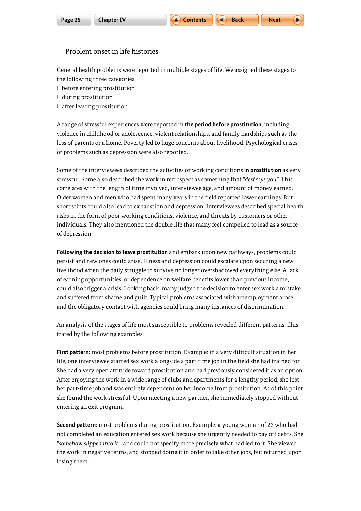Next 
$$
\sqrt{}
$$

#### Problem onset in life histories

General health problems were reported in multiple stages of life. We assigned these stages to the following three categories:

- **■** before entering prostitution
- **■** during prostitution
- **■** after leaving prostitution

A range of stressful experiences were reported in **the period before prostitution**, including violence in childhood or adolescence, violent relationships, and family hardships such as the loss of parents or a home. Poverty led to huge concerns about livelihood. Psychological crises or problems such as depression were also reported.

Some of the interviewees described the activities or working conditions **in prostitution** as very stressful. Some also described the work in retrospect as something that *"destroys you"*. This correlates with the length of time involved, interviewee age, and amount of money earned. Older women and men who had spent many years in the field reported lower earnings. But short stints could also lead to exhaustion and depression. Interviewees described special health risks in the form of poor working conditions, violence, and threats by customers or other individuals. They also mentioned the double life that many feel compelled to lead as a source of depression.

**Following the decision to leave prostitution** and embark upon new pathways, problems could persist and new ones could arise. Illness and depression could escalate upon securing a new livelihood when the daily struggle to survive no longer overshadowed everything else. A lack of earning opportunities, or dependence on welfare benefits lower than previous income, could also trigger a crisis. Looking back, many judged the decision to enter sex work a mistake and suffered from shame and guilt. Typical problems associated with unemployment arose, and the obligatory contact with agencies could bring many instances of discrimination.

An analysis of the stages of life most susceptible to problems revealed different patterns, illustrated by the following examples:

**First pattern:** most problems before prostitution. Example: in a very difficult situation in her life, one interviewee started sex work alongside a part-time job in the field she had trained for. She had a very open attitude toward prostitution and had previously considered it as an option. After enjoying the work in a wide range of clubs and apartments for a lengthy period, she lost her part-time job and was entirely dependent on her income from prostitution. As of this point she found the work stressful. Upon meeting a new partner, she immediately stopped without entering an exit program.

**Second pattern:** most problems during prostitution. Example: a young woman of 23 who had not completed an education entered sex work because she urgently needed to pay off debts. She "*somehow slipped into it*", and could not specify more precisely what had led to it. She viewed the work in negative terms, and stopped doing it in order to take other jobs, but returned upon losing them.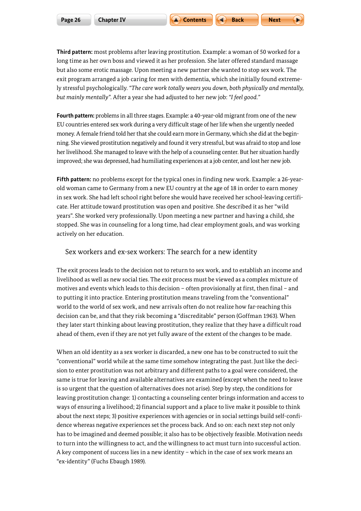**Third pattern:** most problems after leaving prostitution. Example: a woman of 50 worked for a long time as her own boss and viewed it as her profession. She later offered standard massage but also some erotic massage. Upon meeting a new partner she wanted to stop sex work. The exit program arranged a job caring for men with dementia, which she initially found extremely stressful psychologically. *"The care work totally wears you down, both physically and mentally, but mainly mentally"*. After a year she had adjusted to her new job: *"I feel good."* 

**Fourth pattern:** problems in all three stages. Example: a 40-year-old migrant from one of the new EU countries entered sex work during a very difficult stage of her life when she urgently needed money. A female friend told her that she could earn more in Germany, which she did at the beginning. She viewed prostitution negatively and found it very stressful, but was afraid to stop and lose her livelihood. She managed to leave with the help of a counseling center. But her situation hardly improved; she was depressed, had humiliating experiences at a job center, and lost her new job.

**Fifth pattern:** no problems except for the typical ones in finding new work. Example: a 26-yearold woman came to Germany from a new EU country at the age of 18 in order to earn money in sex work. She had left school right before she would have received her school-leaving certificate. Her attitude toward prostitution was open and positive. She described it as her "wild years". She worked very professionally. Upon meeting a new partner and having a child, she stopped. She was in counseling for a long time, had clear employment goals, and was working actively on her education.

#### Sex workers and ex-sex workers: The search for a new identity

The exit process leads to the decision not to return to sex work, and to establish an income and livelihood as well as new social ties. The exit process must be viewed as a complex mixture of motives and events which leads to this decision – often provisionally at first, then final – and to putting it into practice. Entering prostitution means traveling from the "conventional" world to the world of sex work, and new arrivals often do not realize how far-reaching this decision can be, and that they risk becoming a "discreditable" person (Goffman 1963). When they later start thinking about leaving prostitution, they realize that they have a difficult road ahead of them, even if they are not yet fully aware of the extent of the changes to be made.

When an old identity as a sex worker is discarded, a new one has to be constructed to suit the "conventional" world while at the same time somehow integrating the past. Just like the decision to enter prostitution was not arbitrary and different paths to a goal were considered, the same is true for leaving and available alternatives are examined (except when the need to leave is so urgent that the question of alternatives does not arise). Step by step, the conditions for leaving prostitution change: 1) contacting a counseling center brings information and access to ways of ensuring a livelihood; 2) financial support and a place to live make it possible to think about the next steps; 3) positive experiences with agencies or in social settings build self-confidence whereas negative experiences set the process back. And so on: each next step not only has to be imagined and deemed possible; it also has to be objectively feasible. Motivation needs to turn into the willingness to act, and the willingness to act must turn into successful action. A key component of success lies in a new identity – which in the case of sex work means an "ex-identity" (Fuchs Ebaugh 1989).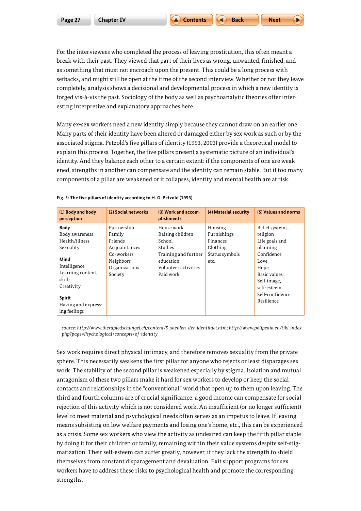For the interviewees who completed the process of leaving prostitution, this often meant a break with their past. They viewed that part of their lives as wrong, unwanted, finished, and as something that must not encroach upon the present. This could be a long process with setbacks, and might still be open at the time of the second interview. Whether or not they leave completely, analysis shows a decisional and developmental process in which a new identity is forged vis-à-vis the past. Sociology of the body as well as psychoanalytic theories offer interesting interpretive and explanatory approaches here.

Many ex-sex workers need a new identity simply because they cannot draw on an earlier one. Many parts of their identity have been altered or damaged either by sex work as such or by the associated stigma. Petzold's five pillars of identity (1993, 2003) provide a theoretical model to explain this process. Together, the five pillars present a systematic picture of an individual's identity. And they balance each other to a certain extent: if the components of one are weakened, strengths in another can compensate and the identity can remain stable. But if too many components of a pillar are weakened or it collapses, identity and mental health are at risk.

| (1) Body and body<br>perception                                                                                                                                                           | (2) Social networks                                                                                      | (3) Work and accom-<br>plishments                                                                                             | (4) Material security                                                    | (5) Values and norms                                                                                                                                                   |
|-------------------------------------------------------------------------------------------------------------------------------------------------------------------------------------------|----------------------------------------------------------------------------------------------------------|-------------------------------------------------------------------------------------------------------------------------------|--------------------------------------------------------------------------|------------------------------------------------------------------------------------------------------------------------------------------------------------------------|
| <b>Body</b><br>Body awareness<br>Health/illness<br>Sexuality<br>Mind<br>Intelligence<br>Learning content,<br>skills<br>Creativity<br><b>Spirit</b><br>Having and express-<br>ing feelings | Partnership<br>Family<br>Friends<br>Acquaintances<br>Co-workers<br>Neighbors<br>Organizations<br>Society | House work<br>Raising children<br>School<br>Studies<br>Training and further<br>education<br>Volunteer activities<br>Paid work | Housing<br>Furnishings<br>Finances<br>Clothing<br>Status symbols<br>etc. | Belief systems,<br>religion<br>Life goals and<br>planning<br>Confidence<br>Love<br>Hope<br>Basic values<br>Self-image,<br>self-esteem<br>Self-confidence<br>Resilience |

#### **Fig. 5: The five pillars of identity according to H. G. Petzold (1993)**

*source: [http://www.therapiedschungel.ch/content/5\\_saeulen\\_der\\_identitaet.htm](http://www.therapiedschungel.ch/content/5_saeulen_der_identitaet.htm); [http://www.polipedia.eu/tiki-index.](http://www.polipedia.eu/tiki-index.php?page=Psychological+concepts+of+identity) [php?page=Psychological+concepts+of+identity](http://www.polipedia.eu/tiki-index.php?page=Psychological+concepts+of+identity)*

Sex work requires direct physical intimacy, and therefore removes sexuality from the private sphere. This necessarily weakens the first pillar for anyone who rejects or least disparages sex work. The stability of the second pillar is weakened especially by stigma. Isolation and mutual antagonism of these two pillars make it hard for sex workers to develop or keep the social contacts and relationships in the "conventional" world that open up to them upon leaving. The third and fourth columns are of crucial significance: a good income can compensate for social rejection of this activity which is not considered work. An insufficient (or no longer sufficient) level to meet material and psychological needs often serves as an impetus to leave. If leaving means subsisting on low welfare payments and losing one's home, etc., this can be experienced as a crisis. Some sex workers who view the activity as undesired can keep the fifth pillar stable by doing it for their children or family, remaining within their value systems despite self-stigmatization. Their self-esteem can suffer greatly, however, if they lack the strength to shield themselves from constant disparagement and devaluation. Exit support programs for sex workers have to address these risks to psychological health and promote the corresponding strengths.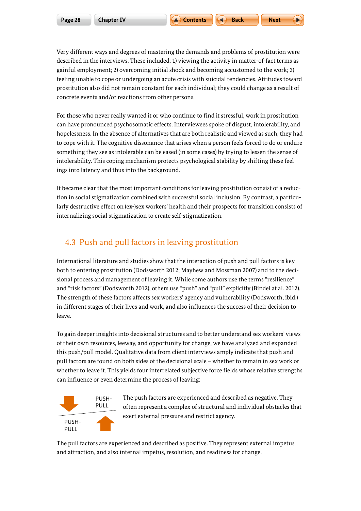<span id="page-27-0"></span>Very different ways and degrees of mastering the demands and problems of prostitution were described in the interviews. These included: 1) viewing the activity in matter-of-fact terms as gainful employment; 2) overcoming initial shock and becoming accustomed to the work; 3) feeling unable to cope or undergoing an acute crisis with suicidal tendencies. Attitudes toward prostitution also did not remain constant for each individual; they could change as a result of concrete events and/or reactions from other persons.

For those who never really wanted it or who continue to find it stressful, work in prostitution can have pronounced psychosomatic effects. Interviewees spoke of disgust, intolerability, and hopelessness. In the absence of alternatives that are both realistic and viewed as such, they had to cope with it. The cognitive dissonance that arises when a person feels forced to do or endure something they see as intolerable can be eased (in some cases) by trying to lessen the sense of intolerability. This coping mechanism protects psychological stability by shifting these feelings into latency and thus into the background.

It became clear that the most important conditions for leaving prostitution consist of a reduction in social stigmatization combined with successful social inclusion. By contrast, a particularly destructive effect on (ex-)sex workers' health and their prospects for transition consists of internalizing social stigmatization to create self-stigmatization.

## 4.3 Push and pull factors in leaving prostitution

International literature and studies show that the interaction of push and pull factors is key both to entering prostitution (Dodsworth 2012; Mayhew and Mossman 2007) and to the decisional process and management of leaving it. While some authors use the terms "resilience" and "risk factors" (Dodsworth 2012), others use "push" and "pull" explicitly (Bindel at al. 2012). The strength of these factors affects sex workers' agency and vulnerability (Dodsworth, ibid.) in different stages of their lives and work, and also influences the success of their decision to leave.

To gain deeper insights into decisional structures and to better understand sex workers' views of their own resources, leeway, and opportunity for change, we have analyzed and expanded this push/pull model. Qualitative data from client interviews amply indicate that push and pull factors are found on both sides of the decisional scale – whether to remain in sex work or whether to leave it. This yields four interrelated subjective force fields whose relative strengths can influence or even determine the process of leaving:



The push factors are experienced and described as negative. They often represent a complex of structural and individual obstacles that exert external pressure and restrict agency.

The pull factors are experienced and described as positive. They represent external impetus and attraction, and also internal impetus, resolution, and readiness for change.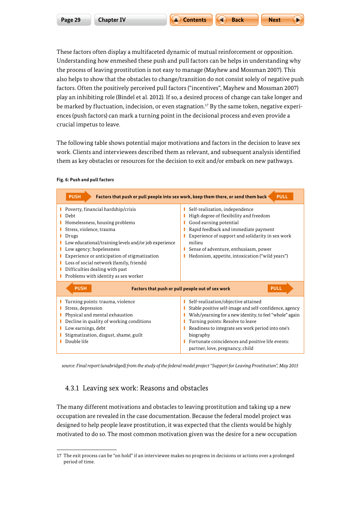These factors often display a multifaceted dynamic of mutual reinforcement or opposition. Understanding how enmeshed these push and pull factors can be helps in understanding why the process of leaving prostitution is not easy to manage (Mayhew and Mossman 2007). This also helps to show that the obstacles to change/transition do not consist solely of negative push factors. Often the positively perceived pull factors ("incentives", Mayhew and Mossman 2007) play an inhibiting role (Bindel et al. 2012). If so, a desired process of change can take longer and be marked by fluctuation, indecision, or even stagnation.<sup>17</sup> By the same token, negative experiences (push factors) can mark a turning point in the decisional process and even provide a crucial impetus to leave.

The following table shows potential major motivations and factors in the decision to leave sex work. Clients and interviewees described them as relevant, and subsequent analysis identified them as key obstacles or resources for the decision to exit and/or embark on new pathways.

| <b>PULL</b><br><b>PUSH</b><br>Factors that push or pull people into sex work, keep them there, or send them back                                                                                                                                                                                                                                                                    |                                                                                                                                                                                                                                                                                                                                                       |  |  |
|-------------------------------------------------------------------------------------------------------------------------------------------------------------------------------------------------------------------------------------------------------------------------------------------------------------------------------------------------------------------------------------|-------------------------------------------------------------------------------------------------------------------------------------------------------------------------------------------------------------------------------------------------------------------------------------------------------------------------------------------------------|--|--|
| <b>Poverty, financial hardship/crisis</b><br>Debt<br>Homelessness, housing problems<br>Stress, violence, trauma<br>Drugs<br>Low educational/training levels and/or job experience<br>Low agency; hopelessness<br>Experience or anticipation of stigmatization<br>Loss of social network (family, friends)<br>Difficulties dealing with past<br>Problems with identity as sex worker | Self-realization, independence<br>High degree of flexibility and freedom<br>Good earning potential<br>Rapid feedback and immediate payment<br>Experience of support and solidarity in sex work<br>milieu<br>Sense of adventure, enthusiasm, power<br>Hedonism, appetite, intoxication ("wild years")                                                  |  |  |
| <b>PUSH</b><br><b>PULL</b><br>Factors that push or pull people out of sex work                                                                                                                                                                                                                                                                                                      |                                                                                                                                                                                                                                                                                                                                                       |  |  |
| Turning points: trauma, violence<br>Stress, depression<br>Physical and mental exhaustion<br>Decline in quality of working conditions<br>Low earnings, debt<br>Stigmatization, disgust, shame, guilt<br>Double life                                                                                                                                                                  | Self-realization/objective attained<br>Stable positive self-image and self-confidence, agency<br>Wish/yearning for a new identity, to feel "whole" again<br>Turning points: Resolve to leave<br>Readiness to integrate sex work period into one's<br>biography<br>Fortunate coincidences and positive life events:<br>partner, love, pregnancy, child |  |  |

#### **Fig. 6: Push and pull factors**

*source: Final report (unabridged) from the study of the federal model project "Support for Leaving Prostitution", May 2015*

#### 4.3.1 Leaving sex work: Reasons and obstacles

The many different motivations and obstacles to leaving prostitution and taking up a new occupation are revealed in the case documentation. Because the federal model project was designed to help people leave prostitution, it was expected that the clients would be highly motivated to do so. The most common motivation given was the desire for a new occupation

<sup>17</sup> The exit process can be "on hold" if an interviewee makes no progress in decisions or actions over a prolonged period of time.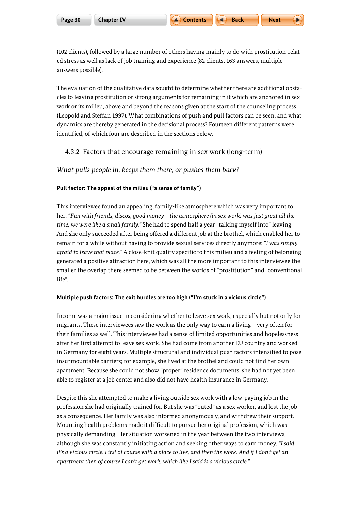(102 clients), followed by a large number of others having mainly to do with prostitution-related stress as well as lack of job training and experience (82 clients, 163 answers, multiple answers possible).

The evaluation of the qualitative data sought to determine whether there are additional obstacles to leaving prostitution or strong arguments for remaining in it which are anchored in sex work or its milieu, above and beyond the reasons given at the start of the counseling process (Leopold and Steffan 1997). What combinations of push and pull factors can be seen, and what dynamics are thereby generated in the decisional process? Fourteen different patterns were identified, of which four are described in the sections below.

#### 4.3.2 Factors that encourage remaining in sex work (long-term)

*What pulls people in, keeps them there, or pushes them back?*

#### **Pull factor: The appeal of the milieu ("a sense of family")**

This interviewee found an appealing, family-like atmosphere which was very important to her: *"Fun with friends, discos, good money – the atmosphere (in sex work) was just great all the time, we were like a small family."* She had to spend half a year "talking myself into" leaving. And she only succeeded after being offered a different job at the brothel, which enabled her to remain for a while without having to provide sexual services directly anymore: *"I was simply afraid to leave that place."* A close-knit quality specific to this milieu and a feeling of belonging generated a positive attraction here, which was all the more important to this interviewee the smaller the overlap there seemed to be between the worlds of "prostitution" and "conventional life".

#### **Multiple push factors: The exit hurdles are too high ("I'm stuck in a vicious circle")**

Income was a major issue in considering whether to leave sex work, especially but not only for migrants. These interviewees saw the work as the only way to earn a living – very often for their families as well. This interviewee had a sense of limited opportunities and hopelessness after her first attempt to leave sex work. She had come from another EU country and worked in Germany for eight years. Multiple structural and individual push factors intensified to pose insurmountable barriers; for example, she lived at the brothel and could not find her own apartment. Because she could not show "proper" residence documents, she had not yet been able to register at a job center and also did not have health insurance in Germany.

Despite this she attempted to make a living outside sex work with a low-paying job in the profession she had originally trained for. But she was "outed" as a sex worker, and lost the job as a consequence. Her family was also informed anonymously, and withdrew their support. Mounting health problems made it difficult to pursue her original profession, which was physically demanding. Her situation worsened in the year between the two interviews, although she was constantly initiating action and seeking other ways to earn money. *"I said it's a vicious circle. First of course with a place to live, and then the work. And if I don't get an apartment then of course I can't get work, which like I said is a vicious circle."*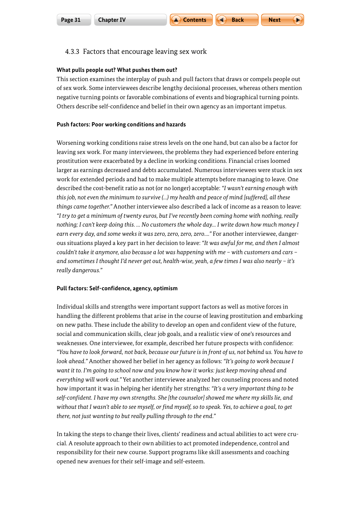### 4.3.3 Factors that encourage leaving sex work

#### **What pulls people out? What pushes them out?**

This section examines the interplay of push and pull factors that draws or compels people out of sex work. Some interviewees describe lengthy decisional processes, whereas others mention negative turning points or favorable combinations of events and biographical turning points. Others describe self-confidence and belief in their own agency as an important impetus.

#### **Push factors: Poor working conditions and hazards**

Worsening working conditions raise stress levels on the one hand, but can also be a factor for leaving sex work. For many interviewees, the problems they had experienced before entering prostitution were exacerbated by a decline in working conditions. Financial crises loomed larger as earnings decreased and debts accumulated. Numerous interviewees were stuck in sex work for extended periods and had to make multiple attempts before managing to leave. One described the cost-benefit ratio as not (or no longer) acceptable: *"I wasn't earning enough with this job, not even the minimum to survive (…) my health and peace of mind [suffered], all these things came together."* Another interviewee also described a lack of income as a reason to leave: *"I try to get a minimum of twenty euros, but I've recently been coming home with nothing, really nothing; I can't keep doing this. … No customers the whole day… I write down how much money I earn every day, and some weeks it was zero, zero, zero, zero…."* For another interviewee, dangerous situations played a key part in her decision to leave: *"It was awful for me, and then I almost couldn't take it anymore, also because a lot was happening with me – with customers and cars – and sometimes I thought I'd never get out, health-wise, yeah, a few times I was also nearly – it's really dangerous."* 

#### **Pull factors: Self-confidence, agency, optimism**

Individual skills and strengths were important support factors as well as motive forces in handling the different problems that arise in the course of leaving prostitution and embarking on new paths. These include the ability to develop an open and confident view of the future, social and communication skills, clear job goals, and a realistic view of one's resources and weaknesses. One interviewee, for example, described her future prospects with confidence: *"You have to look forward, not back, because our future is in front of us, not behind us. You have to look ahead."* Another showed her belief in her agency as follows: *"It's going to work because I want it to. I'm going to school now and you know how it works: just keep moving ahead and everything will work out."* Yet another interviewee analyzed her counseling process and noted how important it was in helping her identify her strengths: *"It's a very important thing to be self-confident. I have my own strengths. She [the counselor] showed me where my skills lie, and without that I wasn't able to see myself, or find myself, so to speak. Yes, to achieve a goal, to get there, not just wanting to but really pulling through to the end."*

In taking the steps to change their lives, clients' readiness and actual abilities to act were crucial. A resolute approach to their own abilities to act promoted independence, control and responsibility for their new course. Support programs like skill assessments and coaching opened new avenues for their self-image and self-esteem.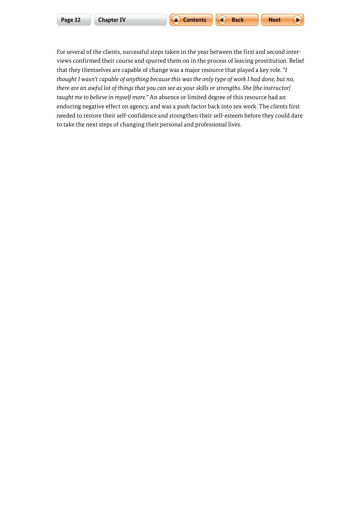

For several of the clients, successful steps taken in the year between the first and second interviews confirmed their course and spurred them on in the process of leaving prostitution. Belief that they themselves are capable of change was a major resource that played a key role. *"I thought I wasn't capable of anything because this was the only type of work I had done, but no, there are an awful lot of things that you can see as your skills or strengths. She [the instructor] taught me to believe in myself more."* An absence or limited degree of this resource had an enduring negative effect on agency, and was a push factor back into sex work. The clients first needed to restore their self-confidence and strengthen their self-esteem before they could dare to take the next steps of changing their personal and professional lives.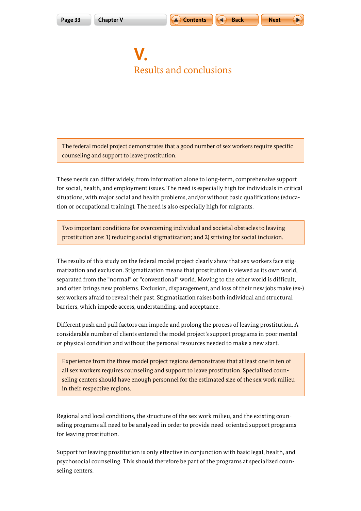$$
\mathsf{Text} \qquad \qquad \qquad \blacktriangleright
$$

## <span id="page-32-0"></span>**V.** Results and conclusions

The federal model project demonstrates that a good number of sex workers require specific counseling and support to leave prostitution.

These needs can differ widely, from information alone to long-term, comprehensive support for social, health, and employment issues. The need is especially high for individuals in critical situations, with major social and health problems, and/or without basic qualifications (education or occupational training). The need is also especially high for migrants.

Two important conditions for overcoming individual and societal obstacles to leaving prostitution are: 1) reducing social stigmatization; and 2) striving for social inclusion.

The results of this study on the federal model project clearly show that sex workers face stigmatization and exclusion. Stigmatization means that prostitution is viewed as its own world, separated from the "normal" or "conventional" world. Moving to the other world is difficult, and often brings new problems. Exclusion, disparagement, and loss of their new jobs make (ex-) sex workers afraid to reveal their past. Stigmatization raises both individual and structural barriers, which impede access, understanding, and acceptance.

Different push and pull factors can impede and prolong the process of leaving prostitution. A considerable number of clients entered the model project's support programs in poor mental or physical condition and without the personal resources needed to make a new start.

Experience from the three model project regions demonstrates that at least one in ten of all sex workers requires counseling and support to leave prostitution. Specialized counseling centers should have enough personnel for the estimated size of the sex work milieu in their respective regions.

Regional and local conditions, the structure of the sex work milieu, and the existing counseling programs all need to be analyzed in order to provide need-oriented support programs for leaving prostitution.

Support for leaving prostitution is only effective in conjunction with basic legal, health, and psychosocial counseling. This should therefore be part of the programs at specialized counseling centers.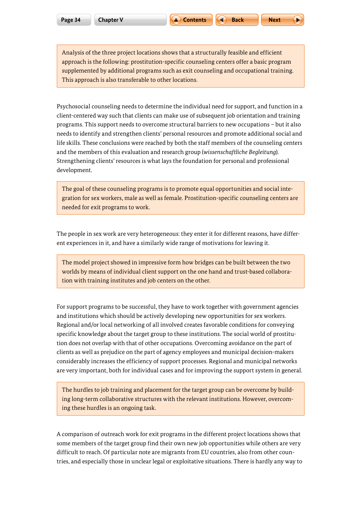Analysis of the three project locations shows that a structurally feasible and efficient approach is the following: prostitution-specific counseling centers offer a basic program supplemented by additional programs such as exit counseling and occupational training. This approach is also transferable to other locations.

Psychosocial counseling needs to determine the individual need for support, and function in a client-centered way such that clients can make use of subsequent job orientation and training programs. This support needs to overcome structural barriers to new occupations – but it also needs to identify and strengthen clients' personal resources and promote additional social and life skills. These conclusions were reached by both the staff members of the counseling centers and the members of this evaluation and research group (*wissenschaftliche Begleitung*). Strengthening clients' resources is what lays the foundation for personal and professional development.

The goal of these counseling programs is to promote equal opportunities and social integration for sex workers, male as well as female. Prostitution-specific counseling centers are needed for exit programs to work.

The people in sex work are very heterogeneous: they enter it for different reasons, have different experiences in it, and have a similarly wide range of motivations for leaving it.

The model project showed in impressive form how bridges can be built between the two worlds by means of individual client support on the one hand and trust-based collaboration with training institutes and job centers on the other.

For support programs to be successful, they have to work together with government agencies and institutions which should be actively developing new opportunities for sex workers. Regional and/or local networking of all involved creates favorable conditions for conveying specific knowledge about the target group to these institutions. The social world of prostitution does not overlap with that of other occupations. Overcoming avoidance on the part of clients as well as prejudice on the part of agency employees and municipal decision-makers considerably increases the efficiency of support processes. Regional and municipal networks are very important, both for individual cases and for improving the support system in general.

The hurdles to job training and placement for the target group can be overcome by building long-term collaborative structures with the relevant institutions. However, overcoming these hurdles is an ongoing task.

A comparison of outreach work for exit programs in the different project locations shows that some members of the target group find their own new job opportunities while others are very difficult to reach. Of particular note are migrants from EU countries, also from other countries, and especially those in unclear legal or exploitative situations. There is hardly any way to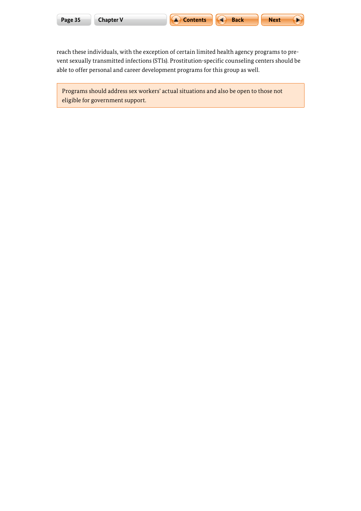E

reach these individuals, with the exception of certain limited health agency programs to prevent sexually transmitted infections (STIs). Prostitution-specific counseling centers should be able to offer personal and career development programs for this group as well.

Programs should address sex workers' actual situations and also be open to those not eligible for government support.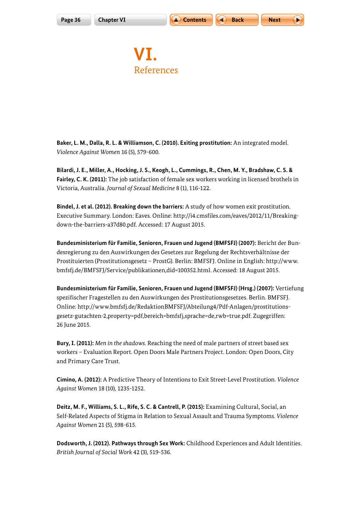<span id="page-35-0"></span>



**VI.** References

**Baker, L. M., Dalla, R. L. & Williamson, C. (2010). Exiting prostitution:** An integrated model. *Violence Against Women* 16 (5), 579-600.

**Bilardi, J. E., Miller, A., Hocking, J. S., Keogh, L., Cummings, R., Chen, M. Y., Bradshaw, C. S. & Fairley, C. K. (2011):** The job satisfaction of female sex workers working in licensed brothels in Victoria, Australia. *Journal of Sexual Medicine* 8 (1), 116-122.

**Bindel, J. et al. (2012). Breaking down the barriers:** A study of how women exit prostitution. Executive Summary. London: Eaves. Online: [http://i4.cmsfiles.com/eaves/2012/11/Breaking](http://i4.cmsfiles.com/eaves/2012/11/Breaking-down-the-barriers-a37d80.pdf)[down-the-barriers-a37d80.pdf](http://i4.cmsfiles.com/eaves/2012/11/Breaking-down-the-barriers-a37d80.pdf). Accessed: 17 August 2015.

**Bundesministerium für Familie, Senioren, Frauen und Jugend (BMFSFJ) (2007):** Bericht der Bundesregierung zu den Auswirkungen des Gesetzes zur Regelung der Rechtsverhältnisse der Prostituierten (Prostitutionsgesetz – ProstG). Berlin: BMFSFJ. Online in English: [http://www.](http://www.bmfsfj.de/BMFSFJ/Service/publikationen,did=100352.html) [bmfsfj.de/BMFSFJ/Service/publikationen,did=100352.html](http://www.bmfsfj.de/BMFSFJ/Service/publikationen,did=100352.html). Accessed: 18 August 2015.

**Bundesministerium für Familie, Senioren, Frauen und Jugend (BMFSFJ) (Hrsg.) (2007):** Vertiefung spezifischer Fragestellen zu den Auswirkungen des Prostitutionsgesetzes. Berlin. BMFSFJ. Online: [http://www.bmfsfj.de/RedaktionBMFSFJ/Abteilung4/Pdf-Anlagen/prostitutions](http://www.bmfsfj.de/RedaktionBMFSFJ/Abteilung4/Pdf-Anlagen/prostitutionsgesetz-gutachten-2,property=pdf,bereich=bmfsfj,sprache=de,rwb=true.pdf)[gesetz-gutachten-2,property=pdf,bereich=bmfsfj,sprache=de,rwb=true.pdf](http://www.bmfsfj.de/RedaktionBMFSFJ/Abteilung4/Pdf-Anlagen/prostitutionsgesetz-gutachten-2,property=pdf,bereich=bmfsfj,sprache=de,rwb=true.pdf). Zugegriffen: 26 June 2015.

**Bury, I. (2011):** *Men in the shadows.* Reaching the need of male partners of street based sex workers – Evaluation Report. Open Doors Male Partners Project. London: Open Doors, City and Primary Care Trust.

**Cimino, A. (2012):** A Predictive Theory of Intentions to Exit Street-Level Prostitution. *Violence Against Women* 18 (10), 1235-1252.

**Deitz, M. F., Williams, S. L., Rife, S. C. & Cantrell, P. (2015):** Examining Cultural, Social, an Self-Related Aspects of Stigma in Relation to Sexual Assault and Trauma Symptoms. *Violence Against Women* 21 (5), 598-615.

**Dodsworth, J. (2012). Pathways through Sex Work:** Childhood Experiences and Adult Identities. *British Journal of Social Work* 42 (3), 519-536.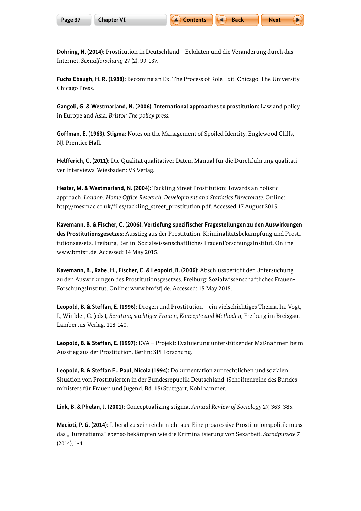**Döhring, N. (2014):** Prostitution in Deutschland – Eckdaten und die Veränderung durch das Internet. *Sexualforschung* 27 (2), 99-137.

**Fuchs Ebaugh, H. R. (1988):** Becoming an Ex. The Process of Role Exit. Chicago. The University Chicago Press.

**Gangoli, G. & Westmarland, N. (2006). International approaches to prostitution:** Law and policy in Europe and Asia. *Bristol: The policy press.*

**Goffman, E. (1963). Stigma:** Notes on the Management of Spoiled Identity. Englewood Cliffs, NJ: Prentice Hall.

**Helfferich, C. (2011):** Die Qualität qualitativer Daten. Manual für die Durchführung qualitativer Interviews. Wiesbaden: VS Verlag.

**Hester, M. & Westmarland, N. (2004):** Tackling Street Prostitution: Towards an holistic approach. *London: Home Office Research, Development and Statistics Directorate.* Online: [http://mesmac.co.uk/files/tackling\\_street\\_prostitution.pdf.](http://mesmac.co.uk/files/tackling_street_prostitution.pdf) Accessed 17 August 2015.

**Kavemann, B. & Fischer, C. (2006). Vertiefung spezifischer Fragestellungen zu den Auswirkungen des Prostitutionsgesetzes:** Ausstieg aus der Prostitution. Kriminalitätsbekämpfung und Prostitutionsgesetz. Freiburg, Berlin: Sozialwissenschaftliches FrauenForschungsInstitut. Online: [www.bmfsfj.de](http://www.bmfsfj.de). Accessed: 14 May 2015.

**Kavemann, B., Rabe, H., Fischer, C. & Leopold, B. (2006):** Abschlussbericht der Untersuchung zu den Auswirkungen des Prostitutionsgesetzes. Freiburg: Sozialwissenschaftliches Frauen-ForschungsInstitut. Online: www.bmfsfj.de. Accessed: 15 May 2015.

**Leopold, B. & Steffan, E. (1996):** Drogen und Prostitution – ein vielschichtiges Thema. In: Vogt, I., Winkler, C. (eds.), *Beratung süchtiger Frauen, Konzepte und Methoden,* Freiburg im Breisgau: Lambertus-Verlag, 118-140.

**Leopold, B. & Steffan, E. (1997):** EVA – Projekt: Evaluierung unterstützender Maßnahmen beim Ausstieg aus der Prostitution. Berlin: SPI Forschung.

**Leopold, B. & Steffan E., Paul, Nicola (1994):** Dokumentation zur rechtlichen und sozialen Situation von Prostituierten in der Bundesrepublik Deutschland. (Schriftenreihe des Bundesministers für Frauen und Jugend, Bd. 15) Stuttgart, Kohlhammer.

**Link, B. & Phelan, J. (2001):** Conceptualizing stigma. *Annual Review of Sociology* 27, 363–385.

**Macioti, P. G. (2014):** Liberal zu sein reicht nicht aus. Eine progressive Prostitutionspolitik muss das "Hurenstigma" ebenso bekämpfen wie die Kriminalisierung von Sexarbeit. *Standpunkte 7*  (2014), 1-4.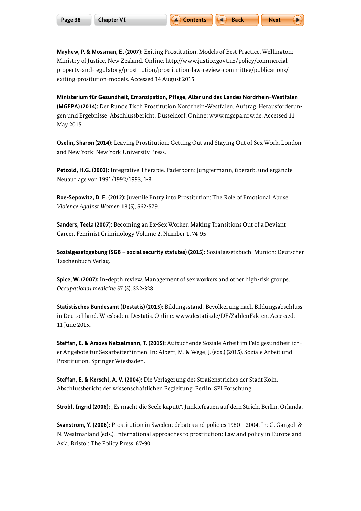**Mayhew, P. & Mossman, E. (2007):** Exiting Prostitution: Models of Best Practice. Wellington: Ministry of Justice, New Zealand. Online: [http://www.justice.govt.nz/policy/commercial](http://www.justice.govt.nz/policy/commercial-property-and-regulatory/prostitution/prostitution-law-review-committee/publications/exiting-prositution-models)[property-and-regulatory/prostitution/prostitution-law-review-committee/publications/](http://www.justice.govt.nz/policy/commercial-property-and-regulatory/prostitution/prostitution-law-review-committee/publications/exiting-prositution-models) [exiting-prositution-models. Accessed 14 August 2015.](http://www.justice.govt.nz/policy/commercial-property-and-regulatory/prostitution/prostitution-law-review-committee/publications/exiting-prositution-models)

**Ministerium für Gesundheit, Emanzipation, Pflege, Alter und des Landes Nordrhein-Westfalen (MGEPA) (2014):** Der Runde Tisch Prostitution Nordrhein-Westfalen. Auftrag, Herausforderungen und Ergebnisse. Abschlussbericht. Düsseldorf. Online: [www.mgepa.nrw.de](http://www.mgepa.nrw.de). Accessed 11 May 2015.

**Oselin, Sharon (2014):** Leaving Prostitution: Getting Out and Staying Out of Sex Work. London and New York: New York University Press.

**Petzold, H.G. (2003):** Integrative Therapie. Paderborn: Jungfermann, überarb. und ergänzte Neuauflage von 1991/1992/1993, 1-8

**Roe-Sepowitz, D. E. (2012):** Juvenile Entry into Prostitution: The Role of Emotional Abuse. *Violence Against Women* 18 (5), 562-579.

**Sanders, Teela (2007):** Becoming an Ex-Sex Worker, Making Transitions Out of a Deviant Career. Feminist Criminology Volume 2, Number 1, 74-95.

**Sozialgesetzgebung (SGB – social security statutes) (2015):** Sozialgesetzbuch. Munich: Deutscher Taschenbuch Verlag.

**Spice, W. (2007):** In-depth review. Management of sex workers and other high-risk groups. *Occupational medicine* 57 (5), 322-328.

**Statistisches Bundesamt (Destatis) (2015):** Bildungsstand: Bevölkerung nach Bildungsabschluss in Deutschland. Wiesbaden: Destatis. Online: www.destatis.de/DE/ZahlenFakten. Accessed: 11 June 2015.

**Steffan, E. & Arsova Netzelmann, T. (2015):** Aufsuchende Soziale Arbeit im Feld gesundheitlicher Angebote für Sexarbeiter\*innen. In: Albert, M. & Wege, J. (eds.) (2015). Soziale Arbeit und Prostitution. Springer Wiesbaden.

**Steffan, E. & Kerschl, A. V. (2004):** Die Verlagerung des Straßenstriches der Stadt Köln. Abschlussbericht der wissenschaftlichen Begleitung. Berlin: SPI Forschung.

Strobl, Ingrid (2006): "Es macht die Seele kaputt". Junkiefrauen auf dem Strich. Berlin, Orlanda.

**Svanström, Y. (2006):** Prostitution in Sweden: debates and policies 1980 – 2004. In: G. Gangoli & N. Westmarland (eds.). International approaches to prostitution: Law and policy in Europe and Asia. Bristol: The Policy Press, 67-90.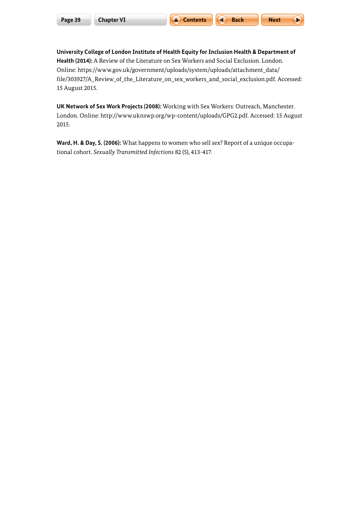**University College of London Institute of Health Equity for Inclusion Health & Department of Health (2014):** A Review of the Literature on Sex Workers and Social Exclusion. London. Online: [https://www.gov.uk/government/uploads/system/uploads/attachment\\_data/](https://www.gov.uk/government/uploads/system/uploads/attachment_data/file/303927/A_Review_of_the_Literature_on_sex_workers_and_social_exclusion.pdf) [file/303927/A\\_Review\\_of\\_the\\_Literature\\_on\\_sex\\_workers\\_and\\_social\\_exclusion.pdf.](https://www.gov.uk/government/uploads/system/uploads/attachment_data/file/303927/A_Review_of_the_Literature_on_sex_workers_and_social_exclusion.pdf) Accessed: 15 August 2015.

**UK Network of Sex Work Projects (2008):** Working with Sex Workers: Outreach, Manchester. London. Online: [http://www.uknswp.org/wp-content/uploads/GPG2.pdf.](http://www.uknswp.org/wp-content/uploads/GPG2.pdf) Accessed: 15 August 2015.

**Ward, H. & Day, S. (2006):** What happens to women who sell sex? Report of a unique occupational cohort. *Sexually Transmitted Infections* 82 (5), 413-417.